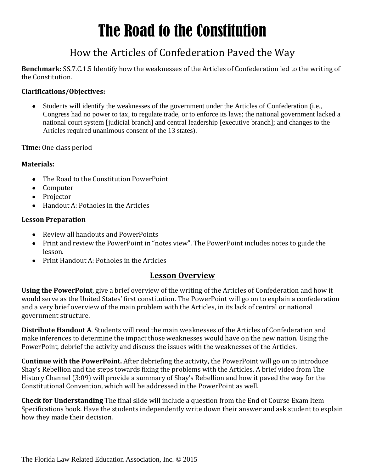# The Road to the Constitution

### How the Articles of Confederation Paved the Way

**Benchmark:** SS.7.C.1.5 Identify how the weaknesses of the Articles of Confederation led to the writing of the Constitution.

#### **Clarifications/Objectives:**

Students will identify the weaknesses of the government under the Articles of Confederation (i.e.,  $\bullet$ Congress had no power to tax, to regulate trade, or to enforce its laws; the national government lacked a national court system [judicial branch] and central leadership [executive branch]; and changes to the Articles required unanimous consent of the 13 states).

**Time:** One class period

#### **Materials:**

- The Road to the Constitution PowerPoint
- Computer
- Projector
- Handout A: Potholes in the Articles

#### **Lesson Preparation**

- Review all handouts and PowerPoints
- Print and review the PowerPoint in "notes view". The PowerPoint includes notes to guide the lesson.
- Print Handout A: Potholes in the Articles

#### **Lesson Overview**

**Using the PowerPoint**, give a brief overview of the writing of the Articles of Confederation and how it would serve as the United States' first constitution. The PowerPoint will go on to explain a confederation and a very brief overview of the main problem with the Articles, in its lack of central or national government structure.

**Distribute Handout A**. Students will read the main weaknesses of the Articles of Confederation and make inferences to determine the impact those weaknesses would have on the new nation. Using the PowerPoint, debrief the activity and discuss the issues with the weaknesses of the Articles.

**Continue with the PowerPoint.** After debriefing the activity, the PowerPoint will go on to introduce Shay's Rebellion and the steps towards fixing the problems with the Articles. A brief video from The History Channel (3:09) will provide a summary of Shay's Rebellion and how it paved the way for the Constitutional Convention, which will be addressed in the PowerPoint as well.

**Check for Understanding** The final slide will include a question from the End of Course Exam Item Specifications book. Have the students independently write down their answer and ask student to explain how they made their decision.